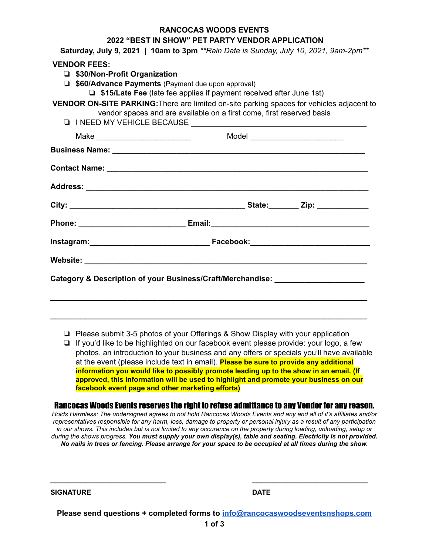| 2022 "BEST IN SHOW" PET PARTY VENDOR APPLICATION                                                                                                                   |
|--------------------------------------------------------------------------------------------------------------------------------------------------------------------|
| Saturday, July 9, 2021   10am to 3pm **Rain Date is Sunday, July 10, 2021, 9am-2pm**                                                                               |
| <b>VENDOR FEES:</b>                                                                                                                                                |
| □ \$30/Non-Profit Organization                                                                                                                                     |
| <b>J \$60/Advance Payments</b> (Payment due upon approval)                                                                                                         |
| $\Box$ \$15/Late Fee (late fee applies if payment received after June 1st)                                                                                         |
| VENDOR ON-SITE PARKING: There are limited on-site parking spaces for vehicles adjacent to<br>vendor spaces and are available on a first come, first reserved basis |
|                                                                                                                                                                    |
|                                                                                                                                                                    |
|                                                                                                                                                                    |
|                                                                                                                                                                    |
|                                                                                                                                                                    |
|                                                                                                                                                                    |
|                                                                                                                                                                    |
|                                                                                                                                                                    |
|                                                                                                                                                                    |
| Category & Description of your Business/Craft/Merchandise: _____________________                                                                                   |
|                                                                                                                                                                    |

**RANCOCAS WOODS EVENTS**

❏ Please submit 3-5 photos of your Offerings & Show Display with your application

**\_\_\_\_\_\_\_\_\_\_\_\_\_\_\_\_\_\_\_\_\_\_\_\_\_\_\_\_\_\_\_\_\_\_\_\_\_\_\_\_\_\_\_\_\_\_\_\_\_\_\_\_\_\_\_\_\_\_\_\_\_\_\_\_\_\_\_\_\_\_\_\_\_\_**

❏ If you'd like to be highlighted on our facebook event please provide: your logo, a few photos, an introduction to your business and any offers or specials you'll have available at the event (please include text in email). **Please be sure to provide any additional information you would like to possibly promote leading up to the show in an email. (If approved, this information will be used to highlight and promote your business on our facebook event page and other marketing efforts)**

Rancocas Woods Events reserves the right to refuse admittance to any Vendor for any reason.

*Holds Harmless: The undersigned agrees to not hold Rancocas Woods Events and any and all of it's affiliates and/or representatives responsible for any harm, loss, damage to property or personal injury as a result of any participation in our shows. This includes but is not limited to any occurance on the property during loading, unloading, setup or during the shows progress. You must supply your own display(s), table and seating. Electricity is not provided. No nails in trees or fencing. Please arrange for your space to be occupied at all times during the show.*

**SIGNATURE DATE**

**Please send questions + completed forms to [info@rancocaswoodseventsnshops.com](mailto:info@rancocaswoodseventsnshops.com)**

**\_\_\_\_\_\_\_\_\_\_\_\_\_\_\_\_\_\_\_\_\_\_\_\_\_\_\_ \_\_\_\_\_\_\_\_\_\_\_\_\_\_\_\_\_\_\_\_\_\_\_\_\_\_\_**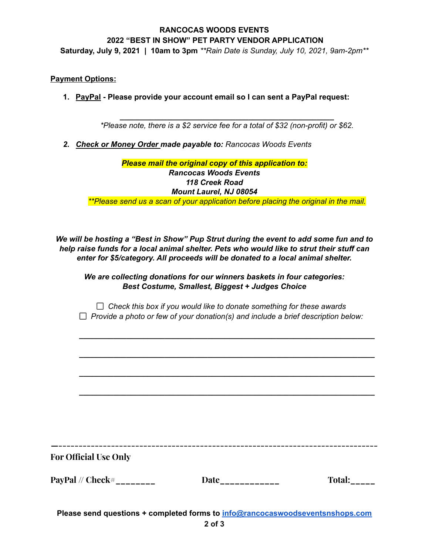# **RANCOCAS WOODS EVENTS 2022 "BEST IN SHOW" PET PARTY VENDOR APPLICATION**

**Saturday, July 9, 2021 | 10am to 3pm** *\*\*Rain Date is Sunday, July 10, 2021, 9am-2pm\*\**

#### **Payment Options:**

**1. PayPal - Please provide your account email so I can sent a PayPal request:**

*\_\_\_\_\_\_\_\_\_\_\_\_\_\_\_\_\_\_\_\_\_\_\_\_\_\_\_\_\_\_\_\_\_\_\_\_\_\_\_\_\_\_\_\_\_\_\_\_\_\_ \*Please note, there is a \$2 service fee for a total of \$32 (non-profit) or \$62.*

*2. Check or Money Order made payable to: Rancocas Woods Events*

### *Please mail the original copy of this application to: Rancocas Woods Events 118 Creek Road Mount Laurel, NJ 08054 \*\*Please send us a scan of your application before placing the original in the mail.*

*We will be hosting a "Best in Show" Pup Strut during the event to add some fun and to help raise funds for a local animal shelter. Pets who would like to strut their stuff can enter for \$5/category. All proceeds will be donated to a local animal shelter.*

*We are collecting donations for our winners baskets in four categories: Best Costume, Smallest, Biggest + Judges Choice*

*Check this box if you would like to donate something for these awards Provide a photo or few of your donation(s) and include a brief description below:*

*\_\_\_\_\_\_\_\_\_\_\_\_\_\_\_\_\_\_\_\_\_\_\_\_\_\_\_\_\_\_\_\_\_\_\_\_\_\_\_\_\_\_\_\_\_\_\_\_\_\_\_\_\_\_\_\_\_\_\_\_\_\_\_\_\_\_\_\_\_*

*\_\_\_\_\_\_\_\_\_\_\_\_\_\_\_\_\_\_\_\_\_\_\_\_\_\_\_\_\_\_\_\_\_\_\_\_\_\_\_\_\_\_\_\_\_\_\_\_\_\_\_\_\_\_\_\_\_\_\_\_\_\_\_\_\_\_\_\_\_*

*\_\_\_\_\_\_\_\_\_\_\_\_\_\_\_\_\_\_\_\_\_\_\_\_\_\_\_\_\_\_\_\_\_\_\_\_\_\_\_\_\_\_\_\_\_\_\_\_\_\_\_\_\_\_\_\_\_\_\_\_\_\_\_\_\_\_\_\_\_*

*\_\_\_\_\_\_\_\_\_\_\_\_\_\_\_\_\_\_\_\_\_\_\_\_\_\_\_\_\_\_\_\_\_\_\_\_\_\_\_\_\_\_\_\_\_\_\_\_\_\_\_\_\_\_\_\_\_\_\_\_\_\_\_\_\_\_\_\_\_*

**For Official Use Only**

**PayPal // Check#\_\_\_\_\_\_\_\_ Date\_\_\_\_\_\_\_\_\_\_\_\_ Total:\_\_\_\_\_**

**—-------------------------------------------------------------------------------**

**Please send questions + completed forms to [info@rancocaswoodseventsnshops.com](mailto:info@rancocaswoodseventsnshops.com)**